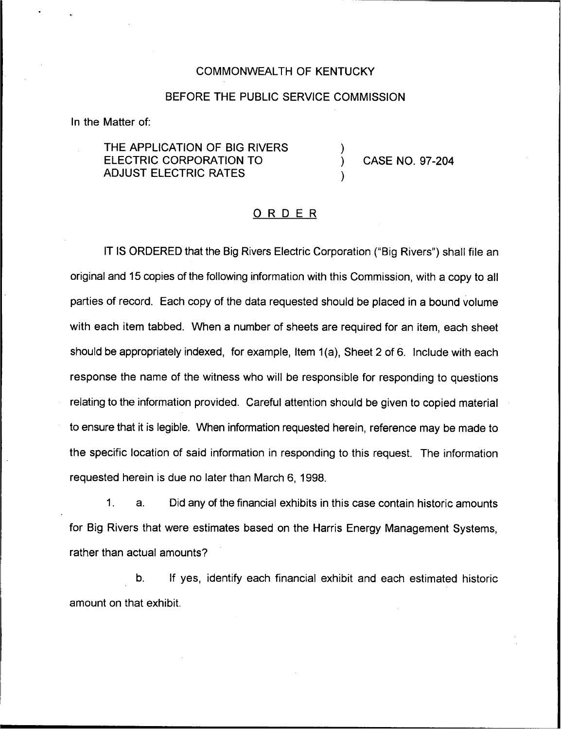## COMMONWEALTH OF KENTUCKY

## BEFORE THE PUBLIC SERVICE COMMISSION

)

)

In the Matter of:

THE APPLICATION OF BIG RIVERS ELECTRIC CORPORATION TO ADJUST ELECTRIC RATES

) CASE NO. 97-204

## ORDER

IT IS ORDERED that the Big Rivers Electric Corporation ("Big Rivers") shall file ar original and 15 copies of the following information with this Commission, with a copy to all parties of record. Each copy of the data requested should be placed in a bound volume with each item tabbed, When a number of sheets are required for an item, each sheet should be appropriately indexed, for example, Item 1(a), Sheet 2 of 6. Include with each response the name of the witness who will be responsible for responding to questions relating to the information provided. Careful attention should be given to copied material to ensure that it is legible. When information requested herein, reference may be made to the specific location of said information in responding to this request. The information requested herein is due no later than March 6, 1998.

1. a. Did any of the financial exhibits in this case contain historic amounts for Big Rivers that were estimates based on the Harris Energy Management Systems, rather than actual amounts?

b. If yes, identify each financial exhibit and each estimated historic amount on that exhibit.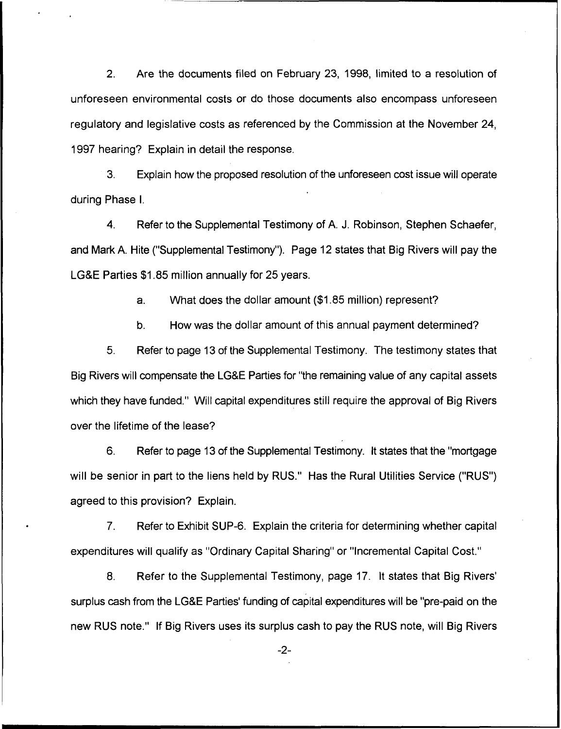2. Are the documents filed on February 23, 1998, limited to a resolution of unforeseen environmental costs or do those documents also encompass unforeseen regulatory and legislative costs as referenced by the Commission at the November 24, 1997 hearing? Explain in detail the response.

3. Explain how the proposed resolution of the unforeseen cost issue will operate during Phase I.

4. Refer to the Supplemental Testimony of A. J. Robinson, Stephen Schaefer, and Mark A. Hite ("Supplemental Testimony"). Page 12 states that Big Rivers will pay the LG&E Parties \$1.85 million annually for 25 years.

a. What does the dollar amount (\$1.85 million) represent?

b. How was the dollar amount of this annual payment determined?

5. Refer to page 13 of the Supplemental Testimony. The testimony states that Big Rivers will compensate the LG&E Parties for "the remaining value of any capital assets which they have funded." Will capital expenditures still require the approval of Big Rivers over the lifetime of the lease?

6. Refer to page 13 of the Supplemental Testimony. It states that the "mortgage will be senior in part to the liens held by RUS." Has the Rural Utilities Service ("RUS") agreed to this provision? Explain.

7. Refer to Exhibit SUP-6. Explain the criteria for determining whether capital expenditures will qualify as "Ordinary Capital Sharing" or "Incremental Capital Cost."

8. Refer to the Supplemental Testimony, page 17. It states that Big Rivers' surplus cash from the LG&E Parties' funding of capital expenditures will be "pre-paid on the new RUS note." If Big Rivers uses its surplus cash to pay the RUS note, will Big Rivers

 $-2-$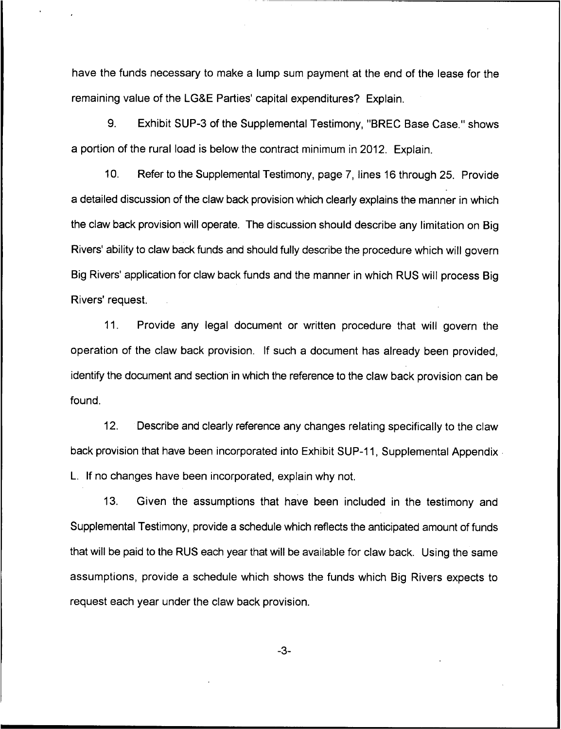have the funds necessary to make a lump sum payment at the end of the lease for the remaining value of the LG&E Parties' capital expenditures? Explain.

9. Exhibit SUP-3 of the Supplemental Testimony, "BREC Base Case." shows a portion of the rural load is below the contract minimum in 2012. Explain.

10. Refer to the Supplemental Testimony, page 7, lines 16 through 25. Provide a detailed discussion of the claw back provision which clearly explains the manner in which the claw back provision will operate. The discussion should describe any limitation on Big Rivers' ability to claw back funds and should fully describe the procedure which will govern Big Rivers' application for claw back funds and the manner in which RUS will process Big Rivers' request.

11. Provide any legal document or written procedure that will govern the operation of the claw back provision. If such a document has already been provided, identify the document and section in which the reference to the claw back provision can be found.

12. Describe and clearly reference any changes relating specifically to the claw back provision that have been incorporated into Exhibit SUP-11, Supplemental Appendix L. If no changes have been incorporated, explain why not.

13. Given the assumptions that have been included in the testimony and Supplemental Testimony, provide a schedule which reflects the anticipated amount of funds that will be paid to the RUS each year that will be available for claw back. Using the same assumptions, provide a schedule which shows the funds which Big Rivers expects to request each year under the claw back provision.

 $-3-$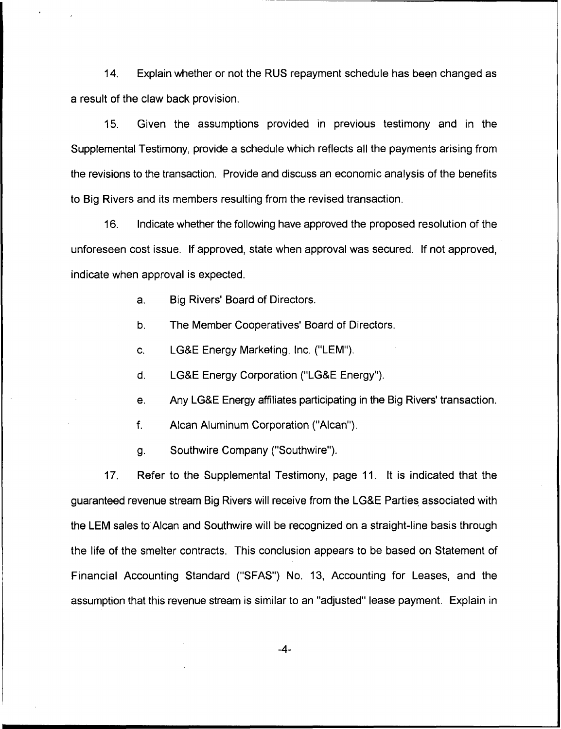14. Explain whether or not the RUS repayment schedule has been changed as a result of the claw back provision.

15. Given the assumptions provided in previous testimony and in the Supplemental Testimony, provide a schedule which reflects all the payments arising from the revisions to the transaction. Provide and discuss an economic analysis of the benefits to Big Rivers and its members resulting from the revised transaction.

16. Indicate whether the following have approved the proposed resolution of the unforeseen cost issue. If approved, state when approval was secured. If not approved, indicate when approval is expected.

a. Big Rivers' Board of Directors.

b. The Member Cooperatives' Board of Directors.

c. LGBE Energy Marketing, Inc. ("LEM").

d. LG&E Energy Corporation ("LG&E Energy").

e. Any LG&E Energy affiliates participating in the Big Rivers' transaction.

f. Alcan Aluminum Corporation ("Alcan").

g. Southwire Company ("Southwire").

17. Refer to the Supplemental Testimony, page 11. It is indicated that the guaranteed revenue stream Big Rivers will receive from the LG&E Parties associated with the LEM sales to Alcan and Southwire will be recognized on a straight-line basis through the life of the smelter contracts. This conclusion appears to be based on Statement of Financial Accounting Standard ("SFAS") No. 13, Accounting for Leases, and the assumption that this revenue stream is similar to an "adjusted" lease payment. Explain in

-4-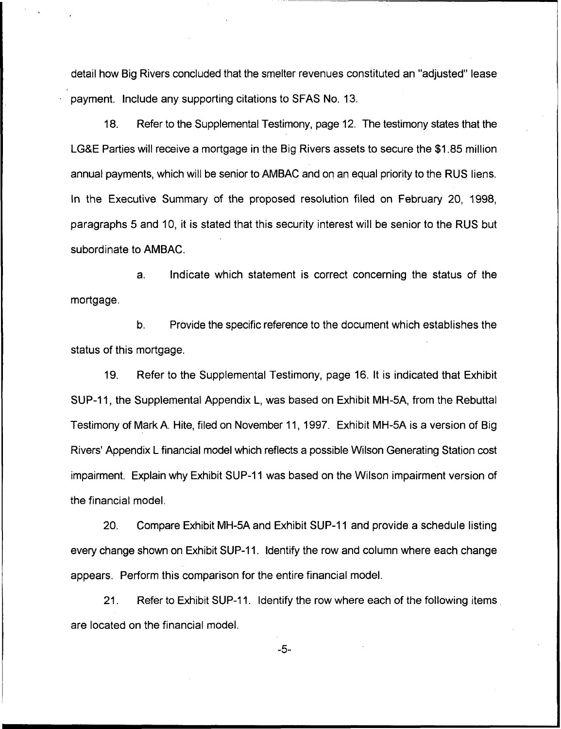detail how Big Rivers concluded that the smelter revenues constituted an "adjusted" lease payment. Include any supporting citations to SFAS No. 13.

18. Refer to the Supplemental Testimony, page 12. The testimony states that the LG&E Parties will receive a mortgage in the Big Rivers assets to secure the \$1.85 million annual payments, which will be senior to AMBAC and on an equal priority to the RUS liens. ln the Executive Summary of the proposed resolution filed on February 20, 1998, paragraphs 5 and 10, it is stated that this security interest will be senior to the RUS but subordinate to AMBAC.

a. Indicate which statement is correct concerning the status of the mortgage.

b. Provide the specific reference to the document which establishes the status of this mortgage.

19. Refer to the Supplemental Testimony, page 16. It is indicated that Exhibit SUP-11, the Supplemental Appendix L, was based on Exhibit MH-5A, from the Rebuttal Testimony of Mark A. Hite, filed on November 11, 1997. Exhibit MH-5A is a version of Big Rivers' Appendix L financial model which reflects a possible Wilson Generating Station cost impairment. Explain why Exhibit SUP-11 was based on the Wilson impairment version of the financial model.

20. Compare Exhibit MH-5A and Exhibit SUP-11 and provide a schedule listing every change shown on Exhibit SUP-11. Identify the row and column where each change appears. Perform this comparison for the entire financial model.

21. Refer to Exhibit SUP-11. Identify the row where each of the following items are located on the financial model.

-5-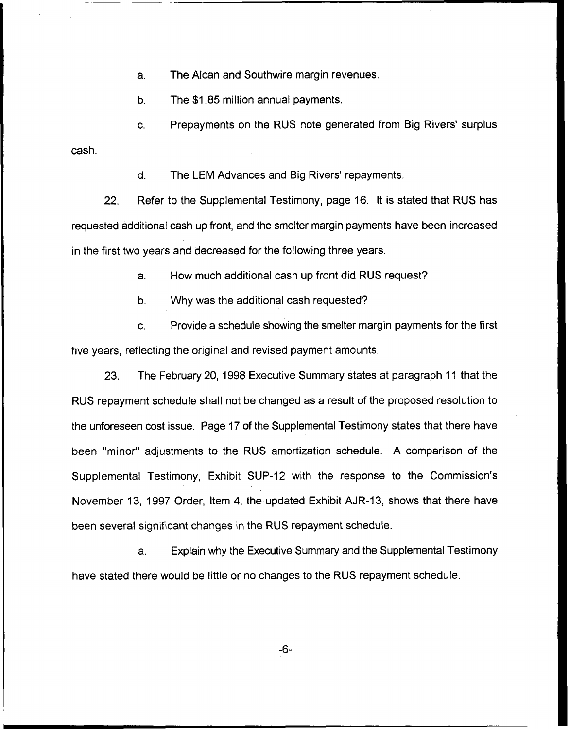a. The Alcan and Southwire margin revenues.

b. The \$1.85 million annual payments.

C. Prepayments on the RUS note generated from Big Rivers' surplus

cash.

d. The LEM Advances and Big Rivers' repayments.

22. Refer to the Supplemental Testimony, page 16. It is stated that RUS has requested additional cash up front, and the smelter margin payments have been increased in the first two years and decreased for the following three years.

a. How much additional cash up front did RUS request?

b. Why was the additional cash requested?

c. Provide a schedule showing the smelter margin payments for the first five years, reflecting the original and revised payment amounts.

23. The February 20, 1998 Executive Summary states at paragraph 11 that the RUS repayment schedule shall not be changed as a result of the proposed resolution to the unforeseen cost issue. Page 17 of the Supplemental Testimony states that there have been "minor" adjustments to the RUS amortization schedule. A comparison of the Supplemental Testimony, Exhibit SUP-12 with the response to the Commission's November 13, 1997 Order, Item 4, the updated Exhibit AJR-13, shows that there have been several significant changes in the RUS repayment schedule.

a. Explain why the Executive Summary and the Supplemental Testimony have stated there would be little or no changes to the RUS repayment schedule.

 $-6-$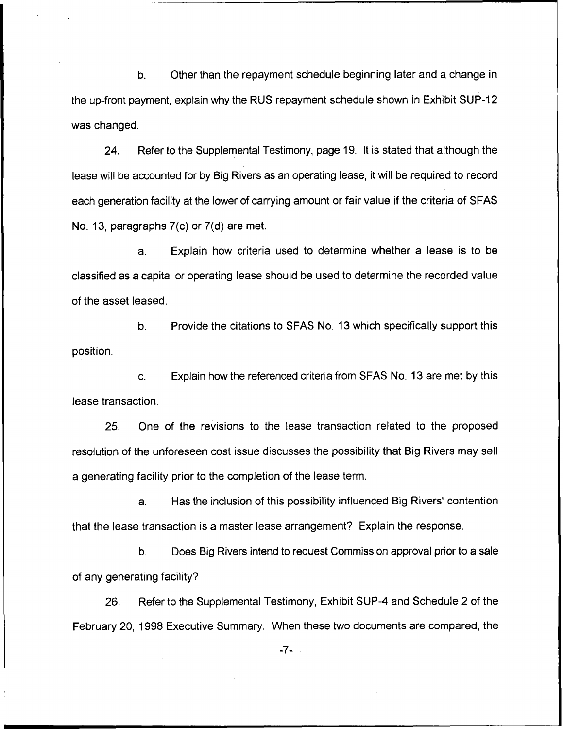b. Other than the repayment schedule beginning later and a change in the up-front payment, explain why the RUS repayment schedule shown in Exhibit SUP-12 was changed.

24. Refer to the Supplemental Testimony, page 19. It is stated that although the lease will be accounted for by Big Rivers as an operating lease, it will be required to record each generation facility at the lower of carrying amount or fair value if the criteria of SFAS No. 13, paragraphs 7(c) or 7(d) are met.

a. Explain how criteria used to determine whether a lease is to be classified as a capital or operating lease should be used to determine the recorded value of the asset leased.

b. Provide the citations to SFAS No. 13 which specifically support this position.

c. Explain how the referenced criteria from SFAS No. 13 are met by this lease transaction.

25. Qne of the revisions to the lease transaction related to the proposed resolution of the unforeseen cost issue discusses the possibility that Big Rivers may sell a generating facility prior to the completion of the lease term.

a. Has the inclusion of this possibility influenced Big Rivers'ontention that the lease transaction is a master lease arrangement? Explain the response.

b. Does Big Rivers intend to request Commission approval prior to a sale of any generating facility?

26. Refer to the Supplemental Testimony, Exhibit SUP-4 and Schedule 2 of the February 20, 1998 Executive Summary. When these two documents are compared, the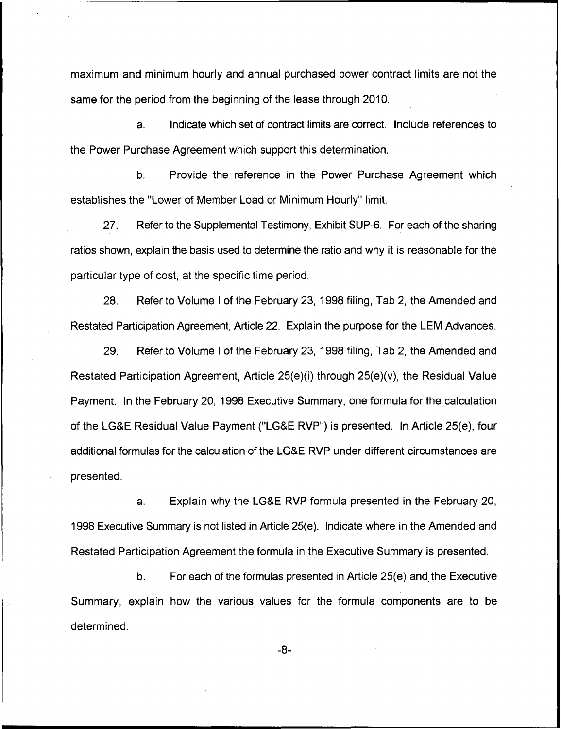maximum and minimum hourly and annual purchased power contract limits are not the same for the period from the beginning of the lease through 2010.

a. Indicate which set of contract limits are correct. Include references to the Power Purchase Agreement which support this determination.

b. Provide the reference in the Power Purchase Agreement which establishes the "Lower of Member Load or Minimum Hourly" limit.

27. Refer to the Supplemental Testimony, Exhibit SUP-6. For each of the sharing ratios shown, explain the basis used to determine the ratio and why it is reasonable for the particular type of cost, at the specific time period.

28. Refer to Volume <sup>I</sup> of the February 23, 1998filing, Tab 2, the Amended and Restated Participation Agreement, Article 22. Explain the purpose for the LEM Advances.

29. Refer to Volume <sup>I</sup> of the February 23, 1998 filing, Tab 2, the Amended and Restated Participation Agreement, Article 25(e)(i) through 25(e)(v), the Residual Value Payment. In the February 20, 1998 Executive Summary, one formula for the calculation of the LG&E Residual Value Payment ("LG&E RVP") is presented. In Article 25(e), four additional formulas for the calculation of the LG&E RVP under different circumstances are presented.

a. Explain why the LG&E RVP formula presented in the February 20, 1998 Executive Summary is not listed in Article 25(e). Indicate where in the Amended and Restated Participation Agreement the formula in the Executive Summary is presented.

b. For each of the formulas presented in Article 25(e) and the Executive Summary, explain how the various values for the formula components are to be determined.

 $-8-$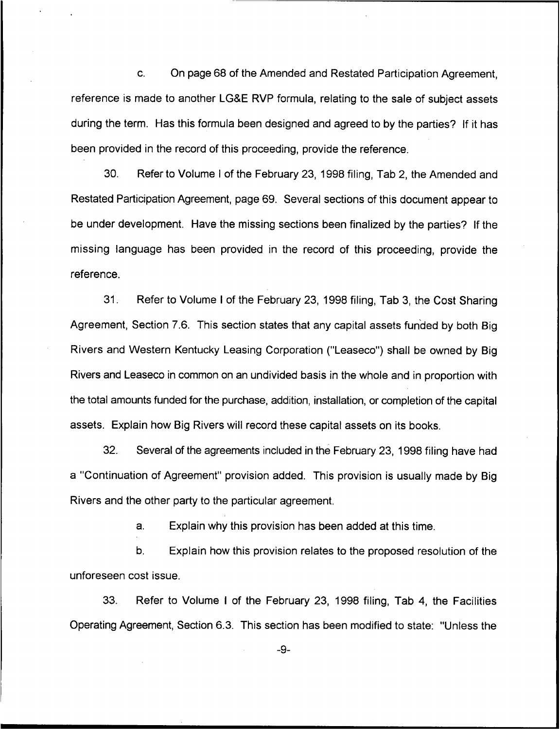c. On page 68 of the Amended and Restated Participation Agreement, reference is made to another LG&E RVP formula, relating to the sale of subject assets during the term. Has this formula been designed and agreed to by the parties? If it has been provided in the record of this proceeding, provide the reference.

30. Refer to Volume <sup>I</sup> of the February 23, 1998 filing, Tab 2, the Amended and Restated Participation Agreement, page 69. Several sections of this document appear to be under development. Have the missing sections been finalized by the parties? If the missing language has been provided in the record of this proceeding, provide the reference.

31. Refer to Volume <sup>I</sup> of the February 23, 1998 filing, Tab 3, the Cost Sharing Agreement, Section 7.6. This section states that any capital assets funded by both Big Rivers and Western Kentucky Leasing Corporation ("Leaseco") shall be owned by Big Rivers and Leaseco in common on an undivided basis in the whole and in proportion with the total amounts funded for the purchase, addition, installation, or completion of the capital assets. Explain how Big Rivers will record these capital assets on its books.

32. Several of the agreements included in the February 23, 1998 filing have had a "Continuation of Agreement" provision added. This provision is usually made by Big Rivers and the other party to the particular agreement.

a. Explain why this provision has been added at this time.

b. Explain how this provision relates to the proposed resolution of the unforeseen cost issue.

33. Refer to Volume <sup>I</sup> of the February 23, 1998 filing, Tab 4, the Facilities Operating Agreement, Section 6.3. This section has been modified to state: "Unless the

 $-9-$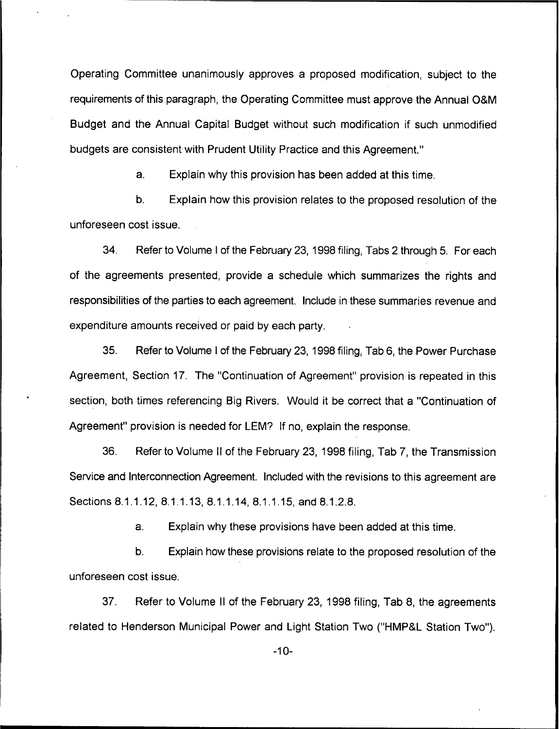Operating Committee unanimously approves a proposed modification, subject to the requirements of this paragraph, the Operating Committee must approve the Annual O&M Budget and the Annual Capital Budget without such modification if such unmodified budgets are consistent with Prudent Utility Practice and this Agreement."

a. Explain why this provision has been added at this time.

b. Explain how this provision relates to the proposed resolution of the unforeseen cost issue.

34. Refer to Volume <sup>I</sup> of the February 23, 1998filing, Tabs 2 through 5. For each of the agreements presented, provide a schedule which summarizes the rights and responsibilities of the parties to each agreement. Include in these summaries revenue and expenditure amounts received or paid by each party.

35. Refer to Volume <sup>I</sup> of the February 23, 1998filing, Tab 6, the Power Purchase Agreement, Section 17. The "Continuation of Agreement" provision is repeated in this section, both times referencing Big Rivers. Would it be correct that a "Continuation of Agreement" provision is needed for LEM? If no, explain the response.

36. Refer to Volume II of the February 23, 1998 filing, Tab 7, the Transmission Service and Interconnection Agreement. Included with the revisions to this agreement are Sections 8.1.1.12, 8.1.1.13, 8.1.1.14, 8.1.1.15, and 8.1.2.8.

a. Explain why these provisions have been added at this time.

b. Explain how these provisions relate to the proposed resolution of the unforeseen cost issue.

37. Refer to Volume II of the February 23, 1998 filing, Tab 8, the agreements related to Henderson Municipal Power and Light Station Two ("HMP&L Station Two").

-10-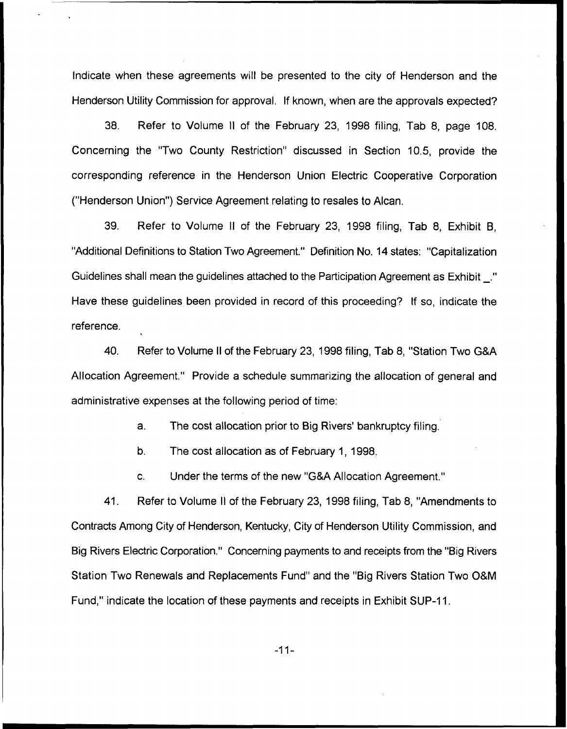Indicate when these agreements will be presented to the city of Henderson and the Henderson Utility Commission for approval. If known, when are the approvals expected?

38. Refer to Volume II of the February 23, 1998 filing, Tab 8, page 108. Concerning the "Two County Restriction" discussed in Section 10.5, provide the corresponding reference in the Henderson Union Electric Cooperative Corporation ("Henderson Union"} Service Agreement relating to resales to Alcan.

39. Refer to Volume II of the February 23, 1998 filing, Tab 8, Exhibit B, "Additional Definitions to Station Two Agreement." Definition No. 14 states: "Capitalization Guidelines shall mean the guidelines attached to the Participation Agreement as Exhibit Have these guidelines been provided in record of this proceeding? If so, indicate the reference.

40. Refer to Volume II of the February 23, 1998filing, Tab 8, "Station Two GRA Allocation Agreement." Provide a schedule summarizing the allocation of general and administrative expenses at the following period of time:

a. The cost allocation prior to Big Rivers' bankruptcy filing.

b. The cost allocation as of February 1, 1998.

c. Under the terms of the new "GKA Allocation Agreement."

41. Refer to Volume II of the February 23, 1998 filing, Tab 8, "Amendments to Contracts Among City of Henderson, Kentucky, City of Henderson Utility Commission, and Big Rivers Electric Corporation." Concerning payments to and receipts from the "Big Rivers Station Two Renewals and Replacements Fund" and the "Big Rivers Station Two 08 <sup>M</sup> Fund," indicate the location of these payments and receipts in Exhibit SUP-11.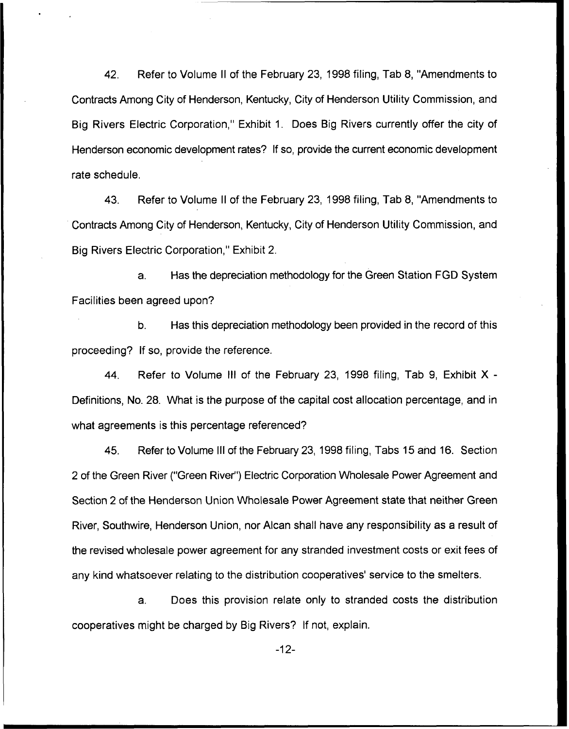42. Refer to Volume II of the February 23, 1998 filing, Tab 8, "Amendments to Contracts Among City of Henderson, Kentucky, City of Henderson Utility Commission, and Big Rivers Electric Corporation," Exhibit 1. Does Big Rivers currently offer the city of Henderson economic development rates? If so, provide the current economic development rate schedule.

43. Refer to Volume II of the February 23, 1998 filing, Tab 8, "Amendments to Contracts Among City of Henderson, Kentucky, City of Henderson Utility Commission, and Big Rivers Electric Corporation," Exhibit 2.

a. Has the depreciation methodology for the Green Station FGD System Facilities been agreed upon?

b. Has this depreciation methodology been provided in the record of this proceeding? If so, provide the reference.

44. Refer to Volume III of the February 23, 1998 filing, Tab 9, Exhibit X-Definitions, No. 28. What is the purpose of the capital cost allocation percentage, and in what agreements is this percentage referenced?

45. Refer to Volume III of the February 23, 1998 filing, Tabs 15 and 16. Section 2 of the Green River ("Green River") Electric Corporation Wholesale Power Agreement and Section 2 of the Henderson Union Wholesale Power Agreement state that neither Green River, Southwire, Henderson Union, nor Alcan shall have any responsibility as a result of the revised wholesale power agreement for any stranded investment costs or exit fees of any kind whatsoever relating to the distribution cooperatives' service to the smelters.

a. Does this provision relate only to stranded costs the distribution cooperatives might be charged by Big Rivers? If not, explain.

-12-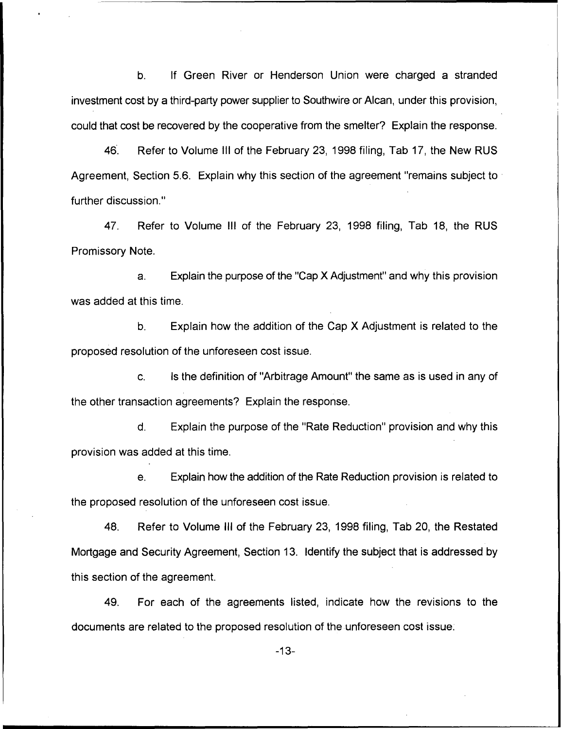$b<sub>1</sub>$ If Green River or Henderson Union were charged a stranded investment cost by a third-party power supplier to Southwire or Alcan, under this provision, could that cost be recovered by the cooperative from the smelter? Explain the response.

46. Refer to Volume III of the February 23, 1998 filing, Tab 17, the New RUS Agreement, Section 5.6. Explain why this section of the agreement "remains subject to further discussion."

47. Refer to Volume III of the February 23, 1998 filing, Tab 18, the RUS Promissory Note.

Explain the purpose of the "Cap X Adjustment" and why this provision  $a<sub>z</sub>$ was added at this time.

b. Explain how the addition of the Cap X Adjustment is related to the proposed resolution of the unforeseen cost issue.

Is the definition of "Arbitrage Amount" the same as is used in any of C. the other transaction agreements? Explain the response.

d. Explain the purpose of the "Rate Reduction" provision and why this provision was added at this time.

e. Explain how the addition of the Rate Reduction provision is related to the proposed resolution of the unforeseen cost issue.

48. Refer to Volume III of the February 23, 1998 filing, Tab 20, the Restated Mortgage and Security Agreement, Section 13. Identify the subject that is addressed by this section of the agreement.

49. For each of the agreements listed, indicate how the revisions to the documents are related to the proposed resolution of the unforeseen cost issue.

-13-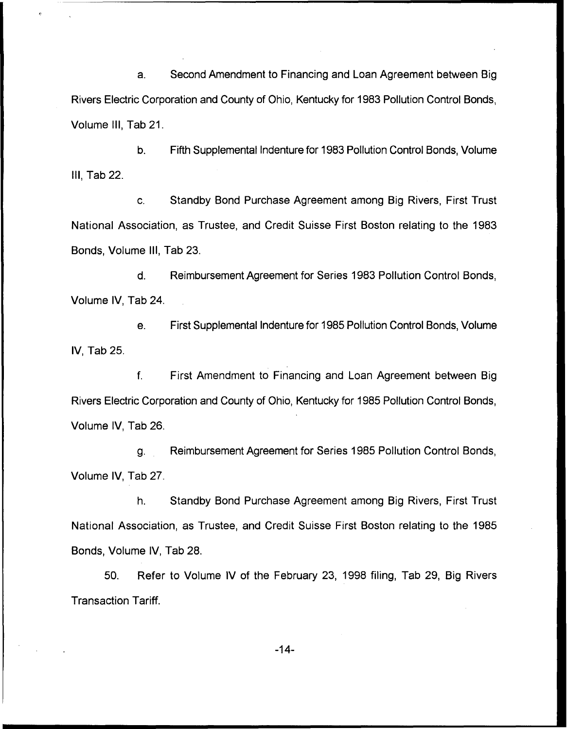a. Second Amendment to Financing and Loan Agreement between Big Rivers Electric Corporation and County of Ohio, Kentucky for 1983 Pollution Control Bonds, Volume III, Tab 21.

b. Fifth Supplemental Indenture for 1983 Pollution Control Bonds, Volume III, Tab 22.

Standby Bond Purchase Agreement among Big Rivers, First Trust C. National Association, as Trustee, and Credit Suisse First Boston relating to the 1983 Bonds, Volume III, Tab 23.

d. Reimbursement Agreement for Series 1983 Pollution Control Bonds, Volume IV, Tab 24.

e. First Supplemental Indenture for 1985 Pollution Control Bonds, Volume IV, Tab 25.

f. First Amendment to Financing and Loan Agreement between Big Rivers Electric Corporation and County of Ohio, Kentucky for 1985 Pollution Control Bonds, Volume IV, Tab 26.

Reimbursement Agreement for Series 1985 Pollution Control Bonds, q. Volume IV, Tab 27.

h. Standby Bond Purchase Agreement among Big Rivers, First Trust National Association, as Trustee, and Credit Suisse First Boston relating to the 1985 Bonds, Volume IV, Tab 28.

50. Refer to Volume IV of the February 23, 1998 filing, Tab 29, Big Rivers Transaction Tariff.

-14-